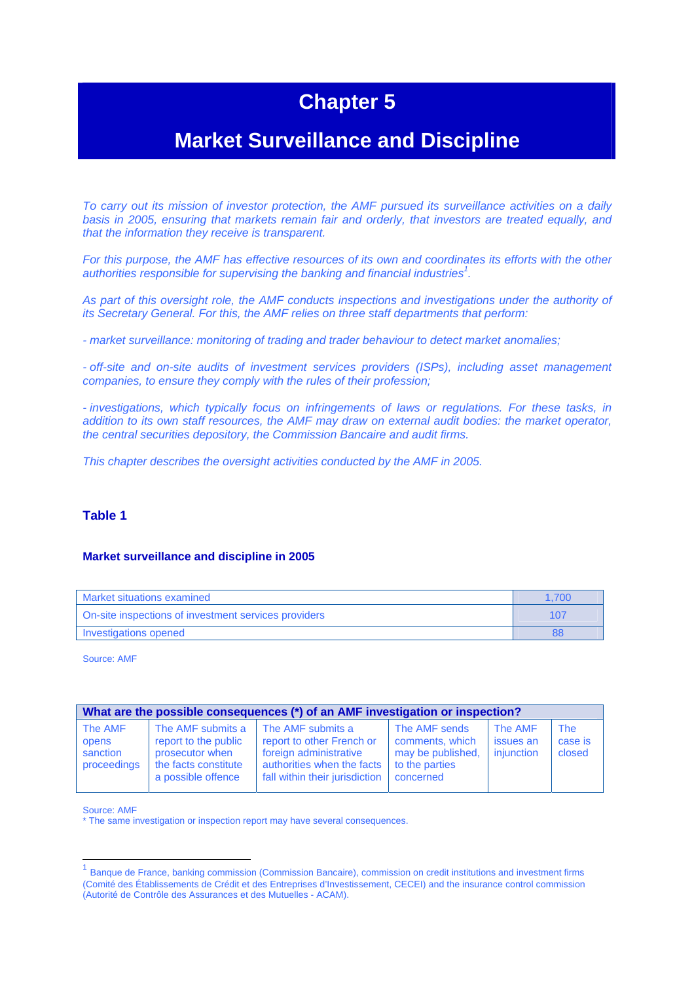# **Chapter 5**

# **Market Surveillance and Discipline**

*To carry out its mission of investor protection, the AMF pursued its surveillance activities on a daily basis in 2005, ensuring that markets remain fair and orderly, that investors are treated equally, and that the information they receive is transparent.* 

*For this purpose, the AMF has effective resources of its own and coordinates its efforts with the other authorities responsible for supervising the banking and financial industries<sup>1</sup> .* 

*As part of this oversight role, the AMF conducts inspections and investigations under the authority of its Secretary General. For this, the AMF relies on three staff departments that perform:* 

*- market surveillance: monitoring of trading and trader behaviour to detect market anomalies;* 

*- off-site and on-site audits of investment services providers (ISPs), including asset management companies, to ensure they comply with the rules of their profession;* 

*- investigations, which typically focus on infringements of laws or regulations. For these tasks, in addition to its own staff resources, the AMF may draw on external audit bodies: the market operator, the central securities depository, the Commission Bancaire and audit firms.* 

*This chapter describes the oversight activities conducted by the AMF in 2005.* 

#### **Table 1**

#### **Market surveillance and discipline in 2005**

| Market situations examined                           | 1.700 |
|------------------------------------------------------|-------|
| On-site inspections of investment services providers | 107   |
| <b>Investigations opened</b>                         | 88    |

Source: AMF

| What are the possible consequences (*) of an AMF investigation or inspection? |                                                                                                            |                                                                                                                                          |                                                                                      |                                    |                                 |
|-------------------------------------------------------------------------------|------------------------------------------------------------------------------------------------------------|------------------------------------------------------------------------------------------------------------------------------------------|--------------------------------------------------------------------------------------|------------------------------------|---------------------------------|
| The AMF<br>opens<br>sanction<br>proceedings                                   | The AMF submits a<br>report to the public<br>prosecutor when<br>the facts constitute<br>a possible offence | The AMF submits a<br>report to other French or<br>foreign administrative<br>authorities when the facts<br>fall within their jurisdiction | The AMF sends<br>comments, which<br>may be published.<br>to the parties<br>concerned | The AMF<br>issues an<br>injunction | <b>The</b><br>case is<br>closed |

Source: AMF

 $\overline{\phantom{a}}$ 

<sup>\*</sup> The same investigation or inspection report may have several consequences.

<sup>1</sup> Banque de France, banking commission (Commission Bancaire), commission on credit institutions and investment firms (Comité des Établissements de Crédit et des Entreprises d'Investissement, CECEI) and the insurance control commission (Autorité de Contrôle des Assurances et des Mutuelles - ACAM).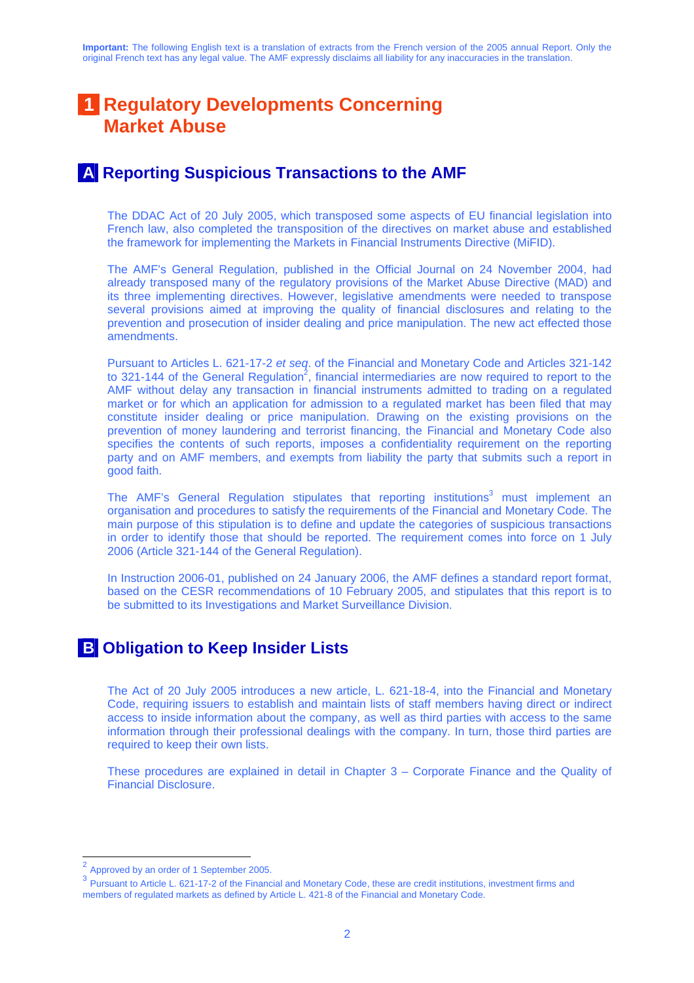# **1 Regulatory Developments Concerning Market Abuse**

## **A Reporting Suspicious Transactions to the AMF**

The DDAC Act of 20 July 2005, which transposed some aspects of EU financial legislation into French law, also completed the transposition of the directives on market abuse and established the framework for implementing the Markets in Financial Instruments Directive (MiFID).

The AMF's General Regulation, published in the Official Journal on 24 November 2004, had already transposed many of the regulatory provisions of the Market Abuse Directive (MAD) and its three implementing directives. However, legislative amendments were needed to transpose several provisions aimed at improving the quality of financial disclosures and relating to the prevention and prosecution of insider dealing and price manipulation. The new act effected those amendments.

Pursuant to Articles L. 621-17-2 *et seq*. of the Financial and Monetary Code and Articles 321-142 to 321-144 of the General Regulation<sup>2</sup>, financial intermediaries are now required to report to the AMF without delay any transaction in financial instruments admitted to trading on a regulated market or for which an application for admission to a regulated market has been filed that may constitute insider dealing or price manipulation. Drawing on the existing provisions on the prevention of money laundering and terrorist financing, the Financial and Monetary Code also specifies the contents of such reports, imposes a confidentiality requirement on the reporting party and on AMF members, and exempts from liability the party that submits such a report in good faith.

The AMF's General Regulation stipulates that reporting institutions<sup>3</sup> must implement an organisation and procedures to satisfy the requirements of the Financial and Monetary Code. The main purpose of this stipulation is to define and update the categories of suspicious transactions in order to identify those that should be reported. The requirement comes into force on 1 July 2006 (Article 321-144 of the General Regulation).

In Instruction 2006-01, published on 24 January 2006, the AMF defines a standard report format, based on the CESR recommendations of 10 February 2005, and stipulates that this report is to be submitted to its Investigations and Market Surveillance Division.

## **B Obligation to Keep Insider Lists**

The Act of 20 July 2005 introduces a new article, L. 621-18-4, into the Financial and Monetary Code, requiring issuers to establish and maintain lists of staff members having direct or indirect access to inside information about the company, as well as third parties with access to the same information through their professional dealings with the company. In turn, those third parties are required to keep their own lists.

These procedures are explained in detail in Chapter 3 – Corporate Finance and the Quality of Financial Disclosure.

<sup>2</sup> Approved by an order of 1 September 2005.

<sup>&</sup>lt;sup>3</sup> Pursuant to Article L. 621-17-2 of the Financial and Monetary Code, these are credit institutions, investment firms and members of regulated markets as defined by Article L. 421-8 of the Financial and Monetary Code.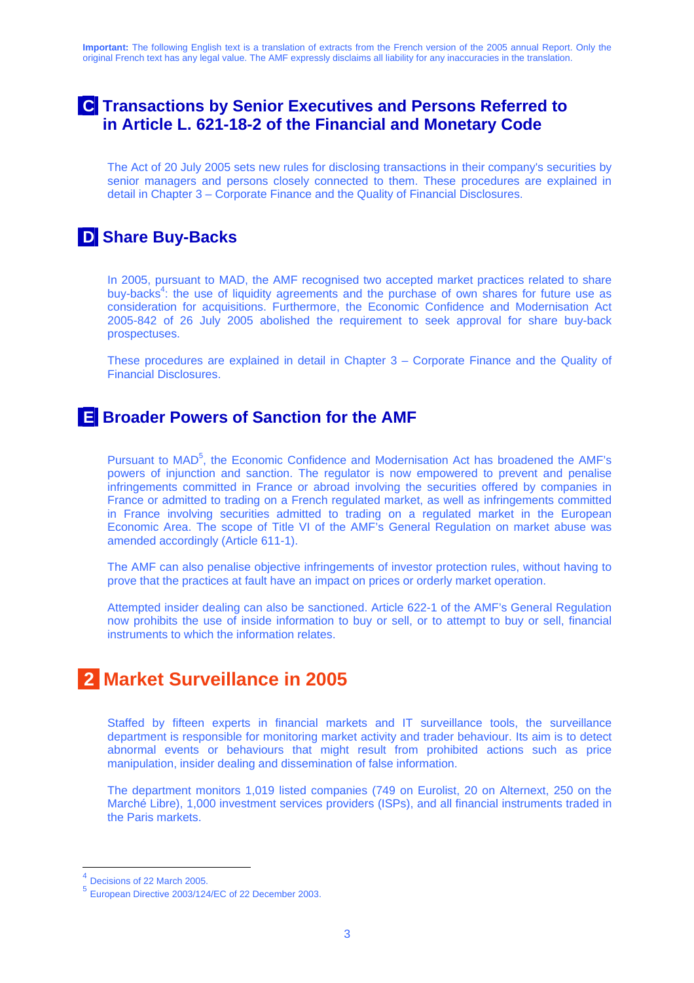## **C Transactions by Senior Executives and Persons Referred to in Article L. 621-18-2 of the Financial and Monetary Code**

The Act of 20 July 2005 sets new rules for disclosing transactions in their company's securities by senior managers and persons closely connected to them. These procedures are explained in detail in Chapter 3 – Corporate Finance and the Quality of Financial Disclosures.

## **D Share Buy-Backs**

In 2005, pursuant to MAD, the AMF recognised two accepted market practices related to share buy-backs<sup>4</sup>: the use of liquidity agreements and the purchase of own shares for future use as consideration for acquisitions. Furthermore, the Economic Confidence and Modernisation Act 2005-842 of 26 July 2005 abolished the requirement to seek approval for share buy-back prospectuses.

These procedures are explained in detail in Chapter 3 – Corporate Finance and the Quality of Financial Disclosures.

## **E Broader Powers of Sanction for the AMF**

Pursuant to MAD<sup>5</sup>, the Economic Confidence and Modernisation Act has broadened the AMF's powers of injunction and sanction. The regulator is now empowered to prevent and penalise infringements committed in France or abroad involving the securities offered by companies in France or admitted to trading on a French regulated market, as well as infringements committed in France involving securities admitted to trading on a regulated market in the European Economic Area. The scope of Title VI of the AMF's General Regulation on market abuse was amended accordingly (Article 611-1).

The AMF can also penalise objective infringements of investor protection rules, without having to prove that the practices at fault have an impact on prices or orderly market operation.

Attempted insider dealing can also be sanctioned. Article 622-1 of the AMF's General Regulation now prohibits the use of inside information to buy or sell, or to attempt to buy or sell, financial instruments to which the information relates.

# **2 Market Surveillance in 2005**

Staffed by fifteen experts in financial markets and IT surveillance tools, the surveillance department is responsible for monitoring market activity and trader behaviour. Its aim is to detect abnormal events or behaviours that might result from prohibited actions such as price manipulation, insider dealing and dissemination of false information.

The department monitors 1,019 listed companies (749 on Eurolist, 20 on Alternext, 250 on the Marché Libre), 1,000 investment services providers (ISPs), and all financial instruments traded in the Paris markets.

<sup>&</sup>lt;sup>4</sup> Decisions of 22 March 2005.

<sup>5</sup> European Directive 2003/124/EC of 22 December 2003.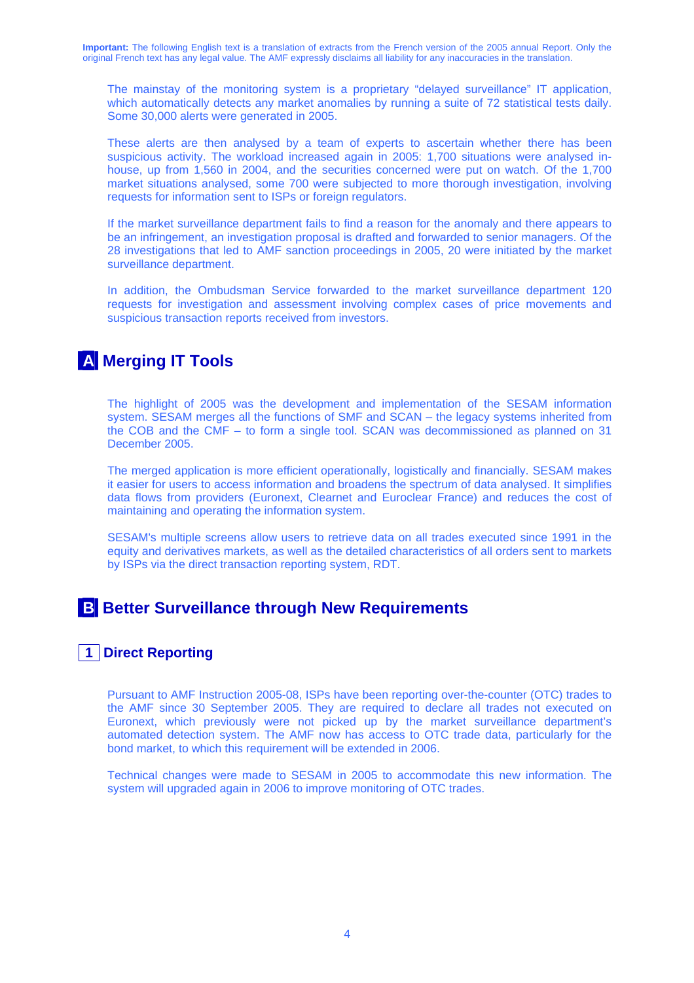The mainstay of the monitoring system is a proprietary "delayed surveillance" IT application, which automatically detects any market anomalies by running a suite of 72 statistical tests daily. Some 30,000 alerts were generated in 2005.

These alerts are then analysed by a team of experts to ascertain whether there has been suspicious activity. The workload increased again in 2005: 1,700 situations were analysed inhouse, up from 1,560 in 2004, and the securities concerned were put on watch. Of the 1,700 market situations analysed, some 700 were subjected to more thorough investigation, involving requests for information sent to ISPs or foreign regulators.

If the market surveillance department fails to find a reason for the anomaly and there appears to be an infringement, an investigation proposal is drafted and forwarded to senior managers. Of the 28 investigations that led to AMF sanction proceedings in 2005, 20 were initiated by the market surveillance department.

In addition, the Ombudsman Service forwarded to the market surveillance department 120 requests for investigation and assessment involving complex cases of price movements and suspicious transaction reports received from investors.

## **A Merging IT Tools**

The highlight of 2005 was the development and implementation of the SESAM information system. SESAM merges all the functions of SMF and SCAN – the legacy systems inherited from the COB and the CMF – to form a single tool. SCAN was decommissioned as planned on 31 December 2005.

The merged application is more efficient operationally, logistically and financially. SESAM makes it easier for users to access information and broadens the spectrum of data analysed. It simplifies data flows from providers (Euronext, Clearnet and Euroclear France) and reduces the cost of maintaining and operating the information system.

SESAM's multiple screens allow users to retrieve data on all trades executed since 1991 in the equity and derivatives markets, as well as the detailed characteristics of all orders sent to markets by ISPs via the direct transaction reporting system, RDT.

## **B Better Surveillance through New Requirements**

### **1 Direct Reporting**

Pursuant to AMF Instruction 2005-08, ISPs have been reporting over-the-counter (OTC) trades to the AMF since 30 September 2005. They are required to declare all trades not executed on Euronext, which previously were not picked up by the market surveillance department's automated detection system. The AMF now has access to OTC trade data, particularly for the bond market, to which this requirement will be extended in 2006.

Technical changes were made to SESAM in 2005 to accommodate this new information. The system will upgraded again in 2006 to improve monitoring of OTC trades.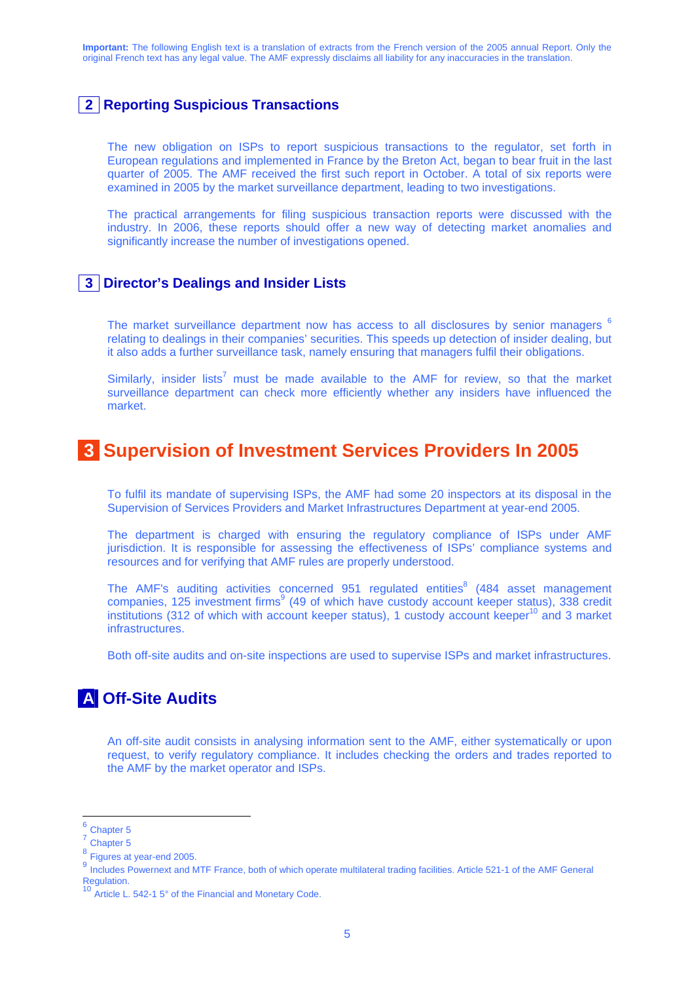### **2 Reporting Suspicious Transactions**

The new obligation on ISPs to report suspicious transactions to the regulator, set forth in European regulations and implemented in France by the Breton Act, began to bear fruit in the last quarter of 2005. The AMF received the first such report in October. A total of six reports were examined in 2005 by the market surveillance department, leading to two investigations.

The practical arrangements for filing suspicious transaction reports were discussed with the industry. In 2006, these reports should offer a new way of detecting market anomalies and significantly increase the number of investigations opened.

#### **3 Director's Dealings and Insider Lists**

The market surveillance department now has access to all disclosures by senior managers  $6$ relating to dealings in their companies' securities. This speeds up detection of insider dealing, but it also adds a further surveillance task, namely ensuring that managers fulfil their obligations.

Similarly, insider lists<sup>7</sup> must be made available to the AMF for review, so that the market surveillance department can check more efficiently whether any insiders have influenced the market.

## **3 Supervision of Investment Services Providers In 2005**

To fulfil its mandate of supervising ISPs, the AMF had some 20 inspectors at its disposal in the Supervision of Services Providers and Market Infrastructures Department at year-end 2005.

The department is charged with ensuring the regulatory compliance of ISPs under AMF jurisdiction. It is responsible for assessing the effectiveness of ISPs' compliance systems and resources and for verifying that AMF rules are properly understood.

The AMF's auditing activities concerned  $951$  regulated entities $8(484)$  asset management companies, 125 investment firms<sup>9</sup> (49 of which have custody account keeper status), 338 credit institutions (312 of which with account keeper status), 1 custody account keeper<sup>10</sup> and 3 market infrastructures.

Both off-site audits and on-site inspections are used to supervise ISPs and market infrastructures.

## **A Off-Site Audits**

An off-site audit consists in analysing information sent to the AMF, either systematically or upon request, to verify regulatory compliance. It includes checking the orders and trades reported to the AMF by the market operator and ISPs.

Chapter 5

<sup>7</sup> Chapter 5

<sup>&</sup>lt;sup>8</sup> Figures at year-end 2005.

<sup>9</sup> Includes Powernext and MTF France, both of which operate multilateral trading facilities. Article 521-1 of the AMF General Regulation.

Article L. 542-1 5° of the Financial and Monetary Code.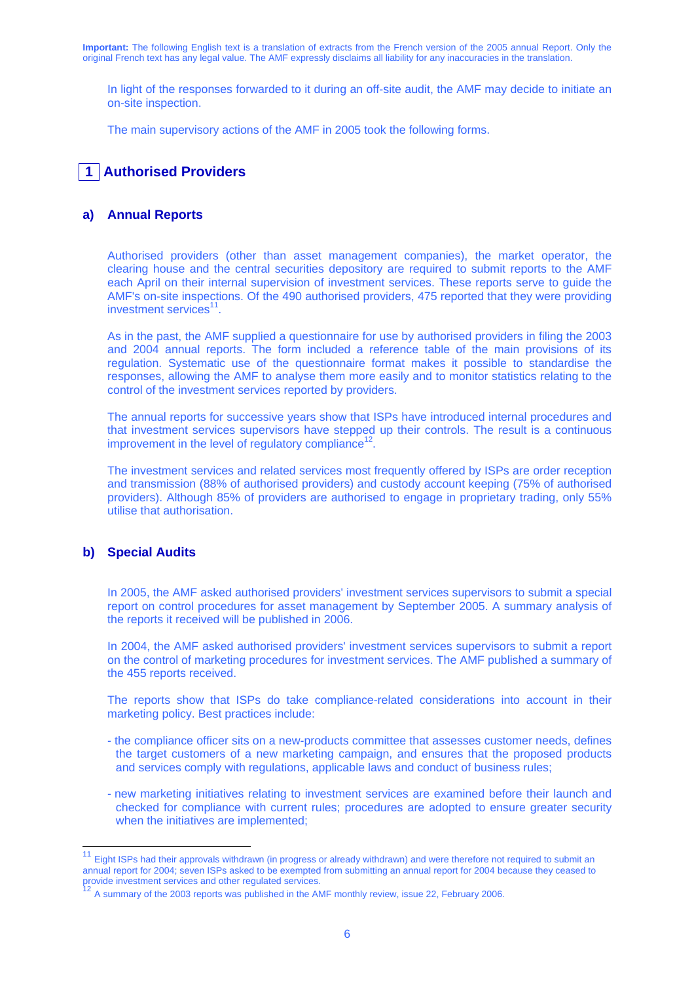In light of the responses forwarded to it during an off-site audit, the AMF may decide to initiate an on-site inspection.

The main supervisory actions of the AMF in 2005 took the following forms.

### **1 Authorised Providers**

#### **a) Annual Reports**

Authorised providers (other than asset management companies), the market operator, the clearing house and the central securities depository are required to submit reports to the AMF each April on their internal supervision of investment services. These reports serve to guide the AMF's on-site inspections. Of the 490 authorised providers, 475 reported that they were providing investment services $11$ .

As in the past, the AMF supplied a questionnaire for use by authorised providers in filing the 2003 and 2004 annual reports. The form included a reference table of the main provisions of its regulation. Systematic use of the questionnaire format makes it possible to standardise the responses, allowing the AMF to analyse them more easily and to monitor statistics relating to the control of the investment services reported by providers.

The annual reports for successive years show that ISPs have introduced internal procedures and that investment services supervisors have stepped up their controls. The result is a continuous improvement in the level of regulatory compliance<sup>12</sup>.

The investment services and related services most frequently offered by ISPs are order reception and transmission (88% of authorised providers) and custody account keeping (75% of authorised providers). Although 85% of providers are authorised to engage in proprietary trading, only 55% utilise that authorisation.

#### **b) Special Audits**

In 2005, the AMF asked authorised providers' investment services supervisors to submit a special report on control procedures for asset management by September 2005. A summary analysis of the reports it received will be published in 2006.

In 2004, the AMF asked authorised providers' investment services supervisors to submit a report on the control of marketing procedures for investment services. The AMF published a summary of the 455 reports received.

The reports show that ISPs do take compliance-related considerations into account in their marketing policy. Best practices include:

- the compliance officer sits on a new-products committee that assesses customer needs, defines the target customers of a new marketing campaign, and ensures that the proposed products and services comply with regulations, applicable laws and conduct of business rules;
- new marketing initiatives relating to investment services are examined before their launch and checked for compliance with current rules; procedures are adopted to ensure greater security when the initiatives are implemented;

<sup>11</sup> Eight ISPs had their approvals withdrawn (in progress or already withdrawn) and were therefore not required to submit an annual report for 2004; seven ISPs asked to be exempted from submitting an annual report for 2004 because they ceased to

A summary of the 2003 reports was published in the AMF monthly review, issue 22, February 2006.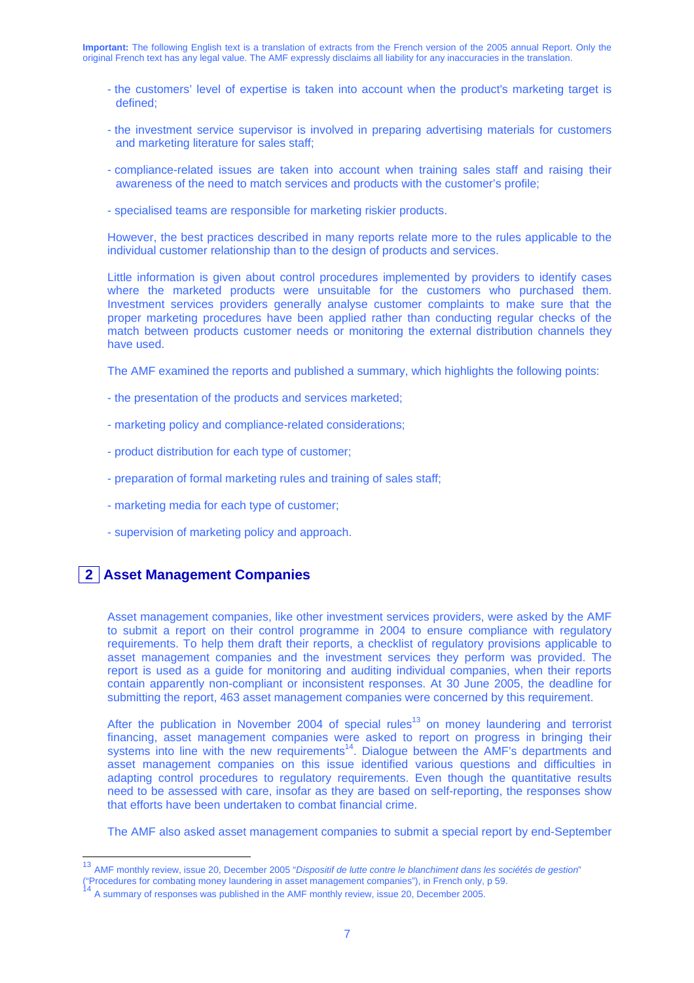- the customers' level of expertise is taken into account when the product's marketing target is defined;
- the investment service supervisor is involved in preparing advertising materials for customers and marketing literature for sales staff;
- compliance-related issues are taken into account when training sales staff and raising their awareness of the need to match services and products with the customer's profile;
- specialised teams are responsible for marketing riskier products.

However, the best practices described in many reports relate more to the rules applicable to the individual customer relationship than to the design of products and services.

Little information is given about control procedures implemented by providers to identify cases where the marketed products were unsuitable for the customers who purchased them. Investment services providers generally analyse customer complaints to make sure that the proper marketing procedures have been applied rather than conducting regular checks of the match between products customer needs or monitoring the external distribution channels they have used.

The AMF examined the reports and published a summary, which highlights the following points:

- the presentation of the products and services marketed;
- marketing policy and compliance-related considerations;
- product distribution for each type of customer;
- preparation of formal marketing rules and training of sales staff;
- marketing media for each type of customer;
- supervision of marketing policy and approach.

#### **2 Asset Management Companies**

Asset management companies, like other investment services providers, were asked by the AMF to submit a report on their control programme in 2004 to ensure compliance with regulatory requirements. To help them draft their reports, a checklist of regulatory provisions applicable to asset management companies and the investment services they perform was provided. The report is used as a guide for monitoring and auditing individual companies, when their reports contain apparently non-compliant or inconsistent responses. At 30 June 2005, the deadline for submitting the report, 463 asset management companies were concerned by this requirement.

After the publication in November 2004 of special rules<sup>13</sup> on money laundering and terrorist financing, asset management companies were asked to report on progress in bringing their systems into line with the new requirements<sup>14</sup>. Dialogue between the AMF's departments and asset management companies on this issue identified various questions and difficulties in adapting control procedures to regulatory requirements. Even though the quantitative results need to be assessed with care, insofar as they are based on self-reporting, the responses show that efforts have been undertaken to combat financial crime.

The AMF also asked asset management companies to submit a special report by end-September

<sup>13</sup> AMF monthly review, issue 20, December 2005 "*Dispositif de lutte contre le blanchiment dans les sociétés de gestion*"

<sup>(&</sup>quot;Procedures for combating money laundering in asset management companies"), in French only, p 59. <sup>14</sup> A summary of responses was published in the AMF monthly review, issue 20, December 2005.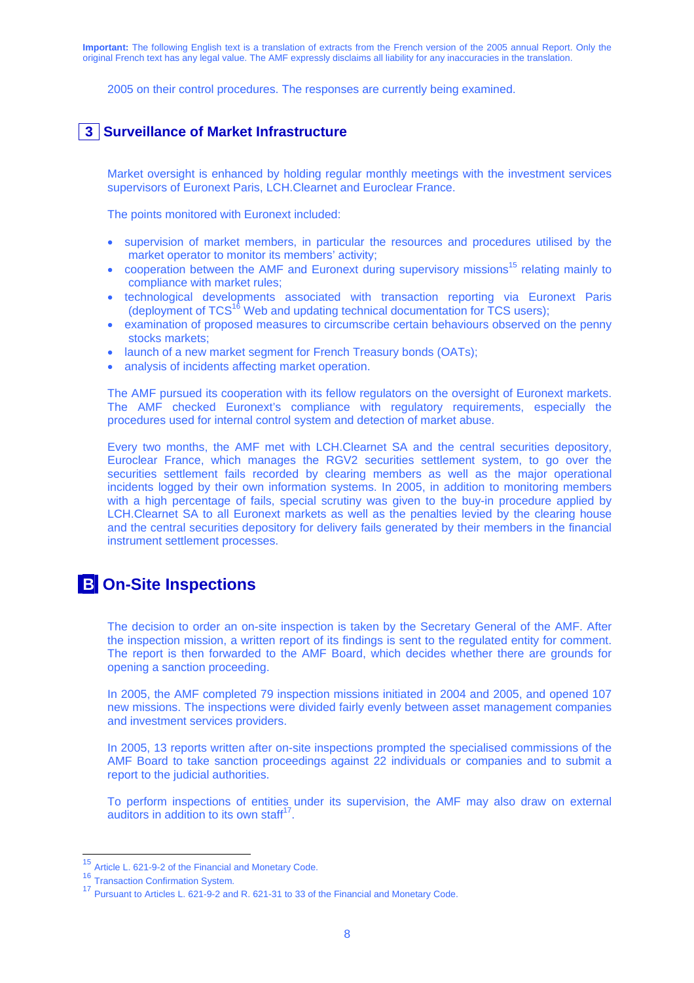2005 on their control procedures. The responses are currently being examined.

### **3 Surveillance of Market Infrastructure**

Market oversight is enhanced by holding regular monthly meetings with the investment services supervisors of Euronext Paris, LCH.Clearnet and Euroclear France.

The points monitored with Euronext included:

- supervision of market members, in particular the resources and procedures utilised by the market operator to monitor its members' activity;
- cooperation between the AMF and Euronext during supervisory missions<sup>15</sup> relating mainly to compliance with market rules;
- technological developments associated with transaction reporting via Euronext Paris (deployment of  $TCS^{16}$  Web and updating technical documentation for  $\overline{T}CS$  users);
- examination of proposed measures to circumscribe certain behaviours observed on the penny stocks markets:
- launch of a new market segment for French Treasury bonds (OATs);
- analysis of incidents affecting market operation.

The AMF pursued its cooperation with its fellow regulators on the oversight of Euronext markets. The AMF checked Euronext's compliance with regulatory requirements, especially the procedures used for internal control system and detection of market abuse.

Every two months, the AMF met with LCH.Clearnet SA and the central securities depository, Euroclear France, which manages the RGV2 securities settlement system, to go over the securities settlement fails recorded by clearing members as well as the major operational incidents logged by their own information systems. In 2005, in addition to monitoring members with a high percentage of fails, special scrutiny was given to the buy-in procedure applied by LCH.Clearnet SA to all Euronext markets as well as the penalties levied by the clearing house and the central securities depository for delivery fails generated by their members in the financial instrument settlement processes.

## **B On-Site Inspections**

The decision to order an on-site inspection is taken by the Secretary General of the AMF. After the inspection mission, a written report of its findings is sent to the regulated entity for comment. The report is then forwarded to the AMF Board, which decides whether there are grounds for opening a sanction proceeding.

In 2005, the AMF completed 79 inspection missions initiated in 2004 and 2005, and opened 107 new missions. The inspections were divided fairly evenly between asset management companies and investment services providers.

In 2005, 13 reports written after on-site inspections prompted the specialised commissions of the AMF Board to take sanction proceedings against 22 individuals or companies and to submit a report to the judicial authorities.

To perform inspections of entities under its supervision, the AMF may also draw on external auditors in addition to its own staff<sup>17</sup>.

<sup>&</sup>lt;sup>15</sup> Article L. 621-9-2 of the Financial and Monetary Code.

<sup>16</sup> Transaction Confirmation System.<br><sup>17</sup> Pursuant to Articles L. 621-9-2 and R. 621-31 to 33 of the Financial and Monetary Code.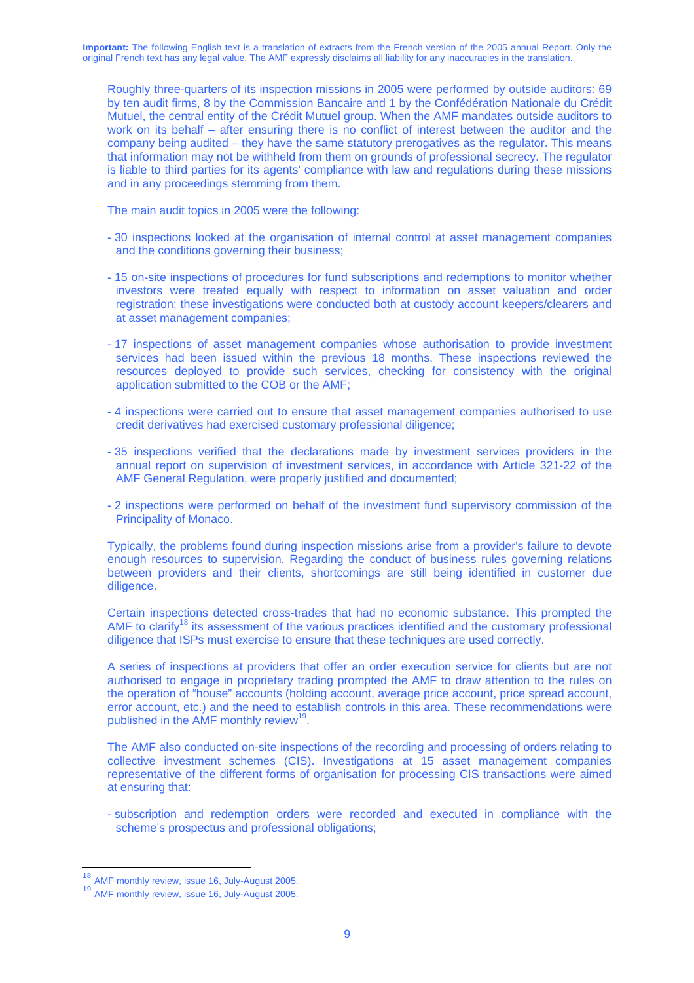Roughly three-quarters of its inspection missions in 2005 were performed by outside auditors: 69 by ten audit firms, 8 by the Commission Bancaire and 1 by the Confédération Nationale du Crédit Mutuel, the central entity of the Crédit Mutuel group. When the AMF mandates outside auditors to work on its behalf – after ensuring there is no conflict of interest between the auditor and the company being audited – they have the same statutory prerogatives as the regulator. This means that information may not be withheld from them on grounds of professional secrecy. The regulator is liable to third parties for its agents' compliance with law and regulations during these missions and in any proceedings stemming from them.

The main audit topics in 2005 were the following:

- 30 inspections looked at the organisation of internal control at asset management companies and the conditions governing their business;
- 15 on-site inspections of procedures for fund subscriptions and redemptions to monitor whether investors were treated equally with respect to information on asset valuation and order registration; these investigations were conducted both at custody account keepers/clearers and at asset management companies;
- 17 inspections of asset management companies whose authorisation to provide investment services had been issued within the previous 18 months. These inspections reviewed the resources deployed to provide such services, checking for consistency with the original application submitted to the COB or the AMF;
- 4 inspections were carried out to ensure that asset management companies authorised to use credit derivatives had exercised customary professional diligence;
- 35 inspections verified that the declarations made by investment services providers in the annual report on supervision of investment services, in accordance with Article 321-22 of the AMF General Regulation, were properly justified and documented;
- 2 inspections were performed on behalf of the investment fund supervisory commission of the Principality of Monaco.

Typically, the problems found during inspection missions arise from a provider's failure to devote enough resources to supervision. Regarding the conduct of business rules governing relations between providers and their clients, shortcomings are still being identified in customer due diligence.

Certain inspections detected cross-trades that had no economic substance. This prompted the AMF to clarify<sup>18</sup> its assessment of the various practices identified and the customary professional diligence that ISPs must exercise to ensure that these techniques are used correctly.

A series of inspections at providers that offer an order execution service for clients but are not authorised to engage in proprietary trading prompted the AMF to draw attention to the rules on the operation of "house" accounts (holding account, average price account, price spread account, error account, etc.) and the need to establish controls in this area. These recommendations were published in the AMF monthly review<sup>19</sup>.

The AMF also conducted on-site inspections of the recording and processing of orders relating to collective investment schemes (CIS). Investigations at 15 asset management companies representative of the different forms of organisation for processing CIS transactions were aimed at ensuring that:

- subscription and redemption orders were recorded and executed in compliance with the scheme's prospectus and professional obligations;

<sup>&</sup>lt;sup>18</sup> AMF monthly review, issue 16, July-August 2005.

<sup>19</sup> AMF monthly review, issue 16, July-August 2005.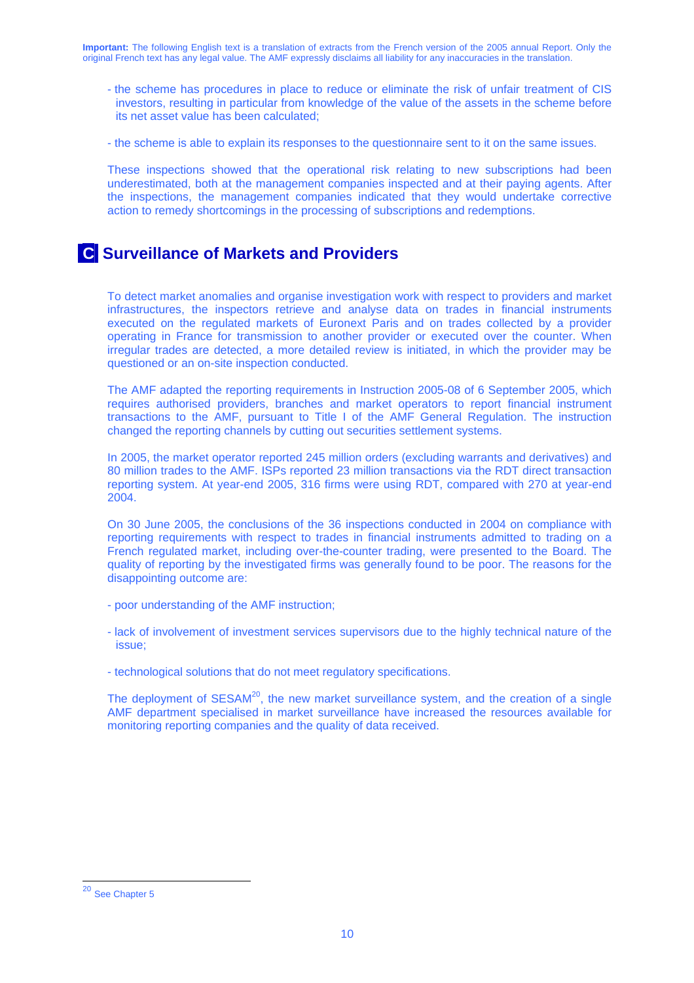- the scheme has procedures in place to reduce or eliminate the risk of unfair treatment of CIS investors, resulting in particular from knowledge of the value of the assets in the scheme before its net asset value has been calculated;
- the scheme is able to explain its responses to the questionnaire sent to it on the same issues.

These inspections showed that the operational risk relating to new subscriptions had been underestimated, both at the management companies inspected and at their paying agents. After the inspections, the management companies indicated that they would undertake corrective action to remedy shortcomings in the processing of subscriptions and redemptions.

## **C Surveillance of Markets and Providers**

To detect market anomalies and organise investigation work with respect to providers and market infrastructures, the inspectors retrieve and analyse data on trades in financial instruments executed on the regulated markets of Euronext Paris and on trades collected by a provider operating in France for transmission to another provider or executed over the counter. When irregular trades are detected, a more detailed review is initiated, in which the provider may be questioned or an on-site inspection conducted.

The AMF adapted the reporting requirements in Instruction 2005-08 of 6 September 2005, which requires authorised providers, branches and market operators to report financial instrument transactions to the AMF, pursuant to Title I of the AMF General Regulation. The instruction changed the reporting channels by cutting out securities settlement systems.

In 2005, the market operator reported 245 million orders (excluding warrants and derivatives) and 80 million trades to the AMF. ISPs reported 23 million transactions via the RDT direct transaction reporting system. At year-end 2005, 316 firms were using RDT, compared with 270 at year-end 2004.

On 30 June 2005, the conclusions of the 36 inspections conducted in 2004 on compliance with reporting requirements with respect to trades in financial instruments admitted to trading on a French regulated market, including over-the-counter trading, were presented to the Board. The quality of reporting by the investigated firms was generally found to be poor. The reasons for the disappointing outcome are:

- poor understanding of the AMF instruction;
- lack of involvement of investment services supervisors due to the highly technical nature of the issue;
- technological solutions that do not meet regulatory specifications.

The deployment of SESAM<sup>20</sup>, the new market surveillance system, and the creation of a single AMF department specialised in market surveillance have increased the resources available for monitoring reporting companies and the quality of data received.

 $\overline{a}$ 

<sup>&</sup>lt;sup>20</sup> See Chapter 5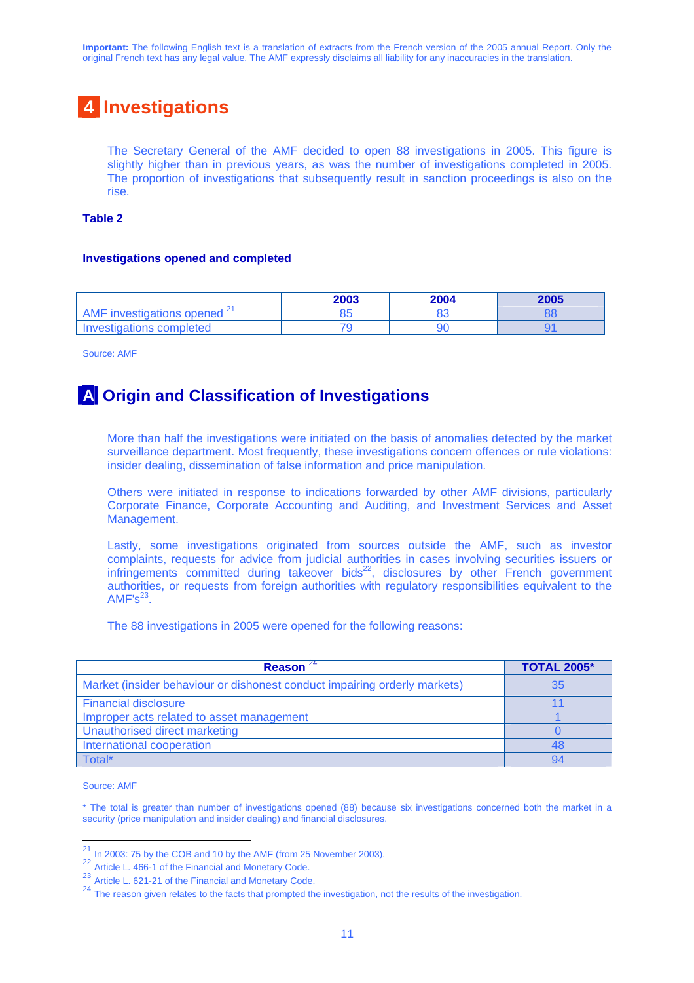# **4 Investigations**

The Secretary General of the AMF decided to open 88 investigations in 2005. This figure is slightly higher than in previous years, as was the number of investigations completed in 2005. The proportion of investigations that subsequently result in sanction proceedings is also on the rise.

#### **Table 2**

#### **Investigations opened and completed**

|                                         | 2003 | 2004 | 2005 |
|-----------------------------------------|------|------|------|
| AMF investigations opened <sup>21</sup> | ວວ   |      |      |
| Investigations completed                |      |      |      |

Source: AMF

## **A Origin and Classification of Investigations**

More than half the investigations were initiated on the basis of anomalies detected by the market surveillance department. Most frequently, these investigations concern offences or rule violations: insider dealing, dissemination of false information and price manipulation.

Others were initiated in response to indications forwarded by other AMF divisions, particularly Corporate Finance, Corporate Accounting and Auditing, and Investment Services and Asset Management.

Lastly, some investigations originated from sources outside the AMF, such as investor complaints, requests for advice from judicial authorities in cases involving securities issuers or infringements committed during takeover bids $^{22}$ , disclosures by other French government authorities, or requests from foreign authorities with regulatory responsibilities equivalent to the  $AMF's<sup>23</sup>$ .

The 88 investigations in 2005 were opened for the following reasons:

| Reason $^{24}$                                                            | <b>TOTAL 2005*</b> |
|---------------------------------------------------------------------------|--------------------|
| Market (insider behaviour or dishonest conduct impairing orderly markets) | 35                 |
| <b>Financial disclosure</b>                                               |                    |
| Improper acts related to asset management                                 |                    |
| Unauthorised direct marketing                                             |                    |
| International cooperation                                                 |                    |
| Total*                                                                    |                    |

Source: AMF

 $\overline{a}$ 

\* The total is greater than number of investigations opened (88) because six investigations concerned both the market in a security (price manipulation and insider dealing) and financial disclosures.

 $^{21}$  In 2003: 75 by the COB and 10 by the AMF (from 25 November 2003).

<sup>22</sup> Article L. 466-1 of the Financial and Monetary Code.

<sup>23</sup> Article L. 621-21 of the Financial and Monetary Code.

<sup>&</sup>lt;sup>24</sup> The reason given relates to the facts that prompted the investigation, not the results of the investigation.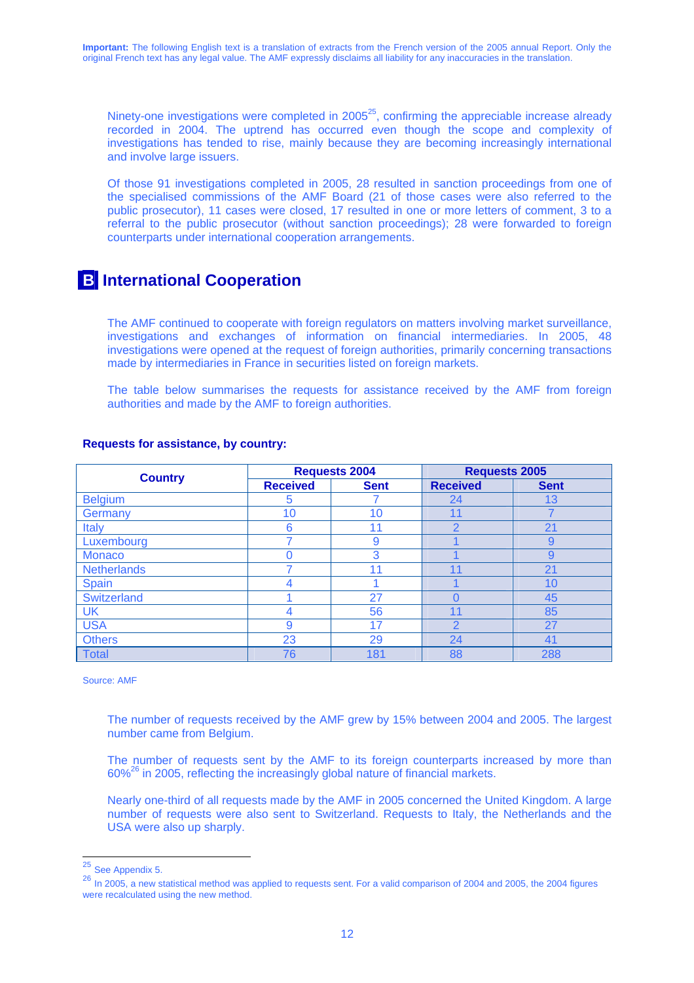Ninety-one investigations were completed in  $2005^{25}$ , confirming the appreciable increase already recorded in 2004. The uptrend has occurred even though the scope and complexity of investigations has tended to rise, mainly because they are becoming increasingly international and involve large issuers.

Of those 91 investigations completed in 2005, 28 resulted in sanction proceedings from one of the specialised commissions of the AMF Board (21 of those cases were also referred to the public prosecutor), 11 cases were closed, 17 resulted in one or more letters of comment, 3 to a referral to the public prosecutor (without sanction proceedings); 28 were forwarded to foreign counterparts under international cooperation arrangements.

## **B** International Cooperation

The AMF continued to cooperate with foreign regulators on matters involving market surveillance, investigations and exchanges of information on financial intermediaries. In 2005, 48 investigations were opened at the request of foreign authorities, primarily concerning transactions made by intermediaries in France in securities listed on foreign markets.

The table below summarises the requests for assistance received by the AMF from foreign authorities and made by the AMF to foreign authorities.

| <b>Country</b>     | <b>Requests 2004</b> |             | <b>Requests 2005</b> |             |
|--------------------|----------------------|-------------|----------------------|-------------|
|                    | <b>Received</b>      | <b>Sent</b> | <b>Received</b>      | <b>Sent</b> |
| <b>Belgium</b>     | 5                    |             | 24                   | 13          |
| Germany            | 10                   | 10          | 11                   |             |
| <b>Italy</b>       | 6                    | 11          | $\overline{2}$       | 21          |
| Luxembourg         |                      | 9           |                      | 9           |
| <b>Monaco</b>      |                      | 3           |                      | 9           |
| <b>Netherlands</b> |                      | 11          | 11                   | 21          |
| <b>Spain</b>       |                      |             |                      | 10          |
| Switzerland        |                      | 27          |                      | 45          |
| <b>UK</b>          |                      | 56          | 11                   | 85          |
| <b>USA</b>         | 9                    | 17          | റ                    | 27          |
| <b>Others</b>      | 23                   | 29          | 24                   | 41          |
| <b>Total</b>       | 76                   | 181         | 88                   | 288         |

#### **Requests for assistance, by country:**

Source: AMF

The number of requests received by the AMF grew by 15% between 2004 and 2005. The largest number came from Belgium.

The number of requests sent by the AMF to its foreign counterparts increased by more than  $60\%$ <sup>26</sup> in 2005, reflecting the increasingly global nature of financial markets.

Nearly one-third of all requests made by the AMF in 2005 concerned the United Kingdom. A large number of requests were also sent to Switzerland. Requests to Italy, the Netherlands and the USA were also up sharply.

 $25$  See Appendix 5.

<sup>26</sup> In 2005, a new statistical method was applied to requests sent. For a valid comparison of 2004 and 2005, the 2004 figures were recalculated using the new method.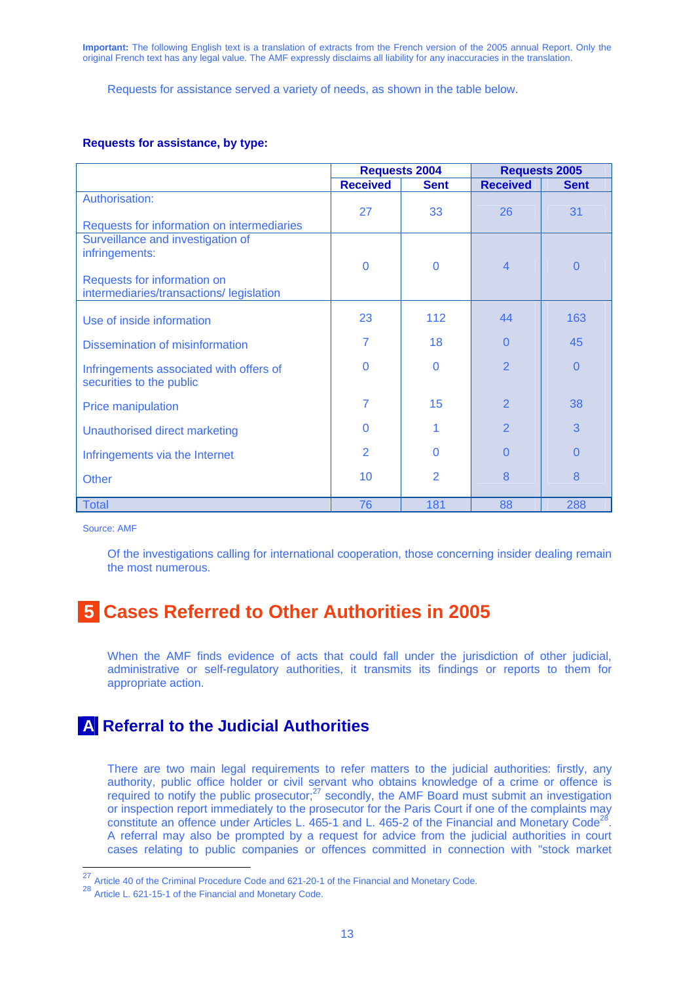Requests for assistance served a variety of needs, as shown in the table below.

#### **Requests for assistance, by type:**

|                                            | <b>Requests 2004</b> |                | <b>Requests 2005</b> |             |
|--------------------------------------------|----------------------|----------------|----------------------|-------------|
|                                            | <b>Received</b>      | <b>Sent</b>    | <b>Received</b>      | <b>Sent</b> |
| Authorisation:                             |                      |                |                      |             |
|                                            | 27                   | 33             | 26                   | 31          |
| Requests for information on intermediaries |                      |                |                      |             |
| Surveillance and investigation of          |                      |                |                      |             |
| infringements:                             |                      |                |                      |             |
|                                            | 0                    | $\Omega$       | $\overline{4}$       | $\Omega$    |
| Requests for information on                |                      |                |                      |             |
| intermediaries/transactions/ legislation   |                      |                |                      |             |
|                                            | 23                   | 112            | 44                   | 163         |
| Use of inside information                  |                      |                |                      |             |
| Dissemination of misinformation            | 7                    | 18             | $\Omega$             | 45          |
|                                            |                      |                |                      |             |
| Infringements associated with offers of    | $\Omega$             | $\Omega$       | $\overline{2}$       | $\Omega$    |
| securities to the public                   |                      |                |                      |             |
|                                            | 7                    | 15             | $\overline{2}$       | 38          |
| <b>Price manipulation</b>                  |                      |                |                      |             |
| Unauthorised direct marketing              | 0                    |                | $\overline{2}$       | 3           |
|                                            |                      |                |                      |             |
| Infringements via the Internet             | $\overline{2}$       | 0              | O                    | $\Omega$    |
| <b>Other</b>                               | 10                   | $\overline{2}$ | 8                    | 8           |
|                                            |                      |                |                      |             |
| <b>Total</b>                               | 76                   | 181            | 88                   | 288         |

Source: AMF

Of the investigations calling for international cooperation, those concerning insider dealing remain the most numerous.

# **5 Cases Referred to Other Authorities in 2005**

When the AMF finds evidence of acts that could fall under the jurisdiction of other judicial, administrative or self-regulatory authorities, it transmits its findings or reports to them for appropriate action.

## **A Referral to the Judicial Authorities**

There are two main legal requirements to refer matters to the judicial authorities: firstly, any authority, public office holder or civil servant who obtains knowledge of a crime or offence is required to notify the public prosecutor; $^{27}$  secondly, the AMF Board must submit an investigation or inspection report immediately to the prosecutor for the Paris Court if one of the complaints may constitute an offence under Articles L.  $465-1$  and L.  $465-2$  of the Financial and Monetary Code<sup>28</sup>. A referral may also be prompted by a request for advice from the judicial authorities in court cases relating to public companies or offences committed in connection with "stock market

 $27$  Article 40 of the Criminal Procedure Code and 621-20-1 of the Financial and Monetary Code.

<sup>28</sup> Article L. 621-15-1 of the Financial and Monetary Code.